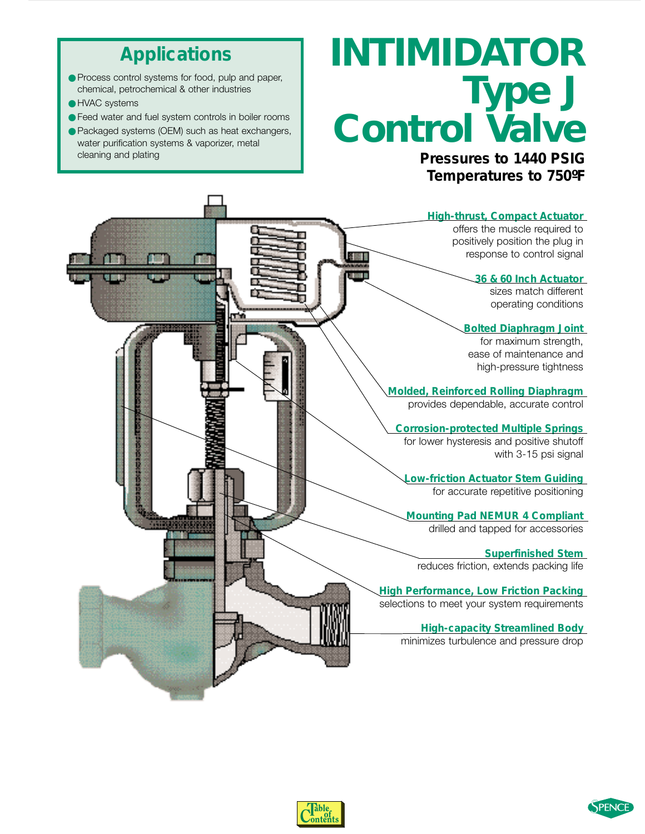### **Applications**

- <span id="page-0-0"></span>● Process control systems for food, pulp and paper, chemical, petrochemical & other industries
- HVAC systems
- Feed water and fuel system controls in boiler rooms
- Packaged systems (OEM) such as heat exchangers, water purification systems & vaporizer, metal cleaning and plating

# *INTIMIDATOR Type J Control Valve*

**Pressures to 1440 PSIG Temperatures to 750ºF**





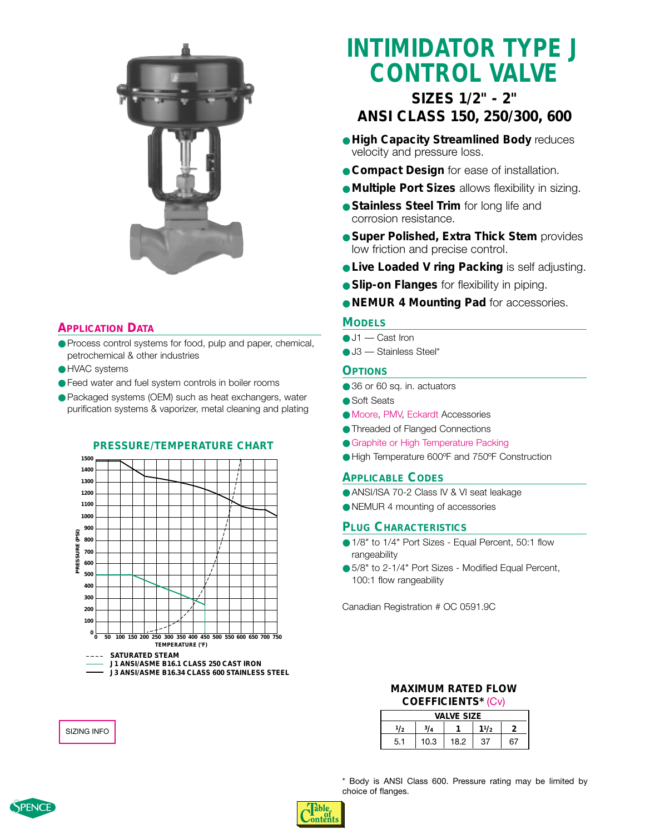

#### **[APPLICATION](#page-0-0) DATA**

- Process control systems for food, pulp and paper, chemical, petrochemical & other industries
- HVAC systems
- Feed water and fuel system controls in boiler rooms
- Packaged systems (OEM) such as heat exchangers, water purification systems & vaporizer, metal cleaning and plating

#### **PRESSURE/TEMPERATURE CHART**



### **INTIMIDATOR TYPE J CONTROL VALVE**

### **SIZES 1/2" - 2" ANSI CLASS 150, 250/300, 600**

- **High Capacity Streamlined Body** reduces velocity and pressure loss.
- **Compact Design** for ease of installation.
- **Multiple Port Sizes** allows flexibility in sizing.
- **Stainless Steel Trim** for long life and corrosion resistance.
- **Super Polished, Extra Thick Stem** provides low friction and precise control.
- **. Live Loaded V ring Packing** is self adjusting.
- **Slip-on Flanges** for flexibility in piping.
- **NEMUR 4 Mounting Pad** for accessories.

#### **MODELS**

- $\bullet$  J1 Cast Iron
- J3 Stainless Steel\*

#### **OPTIONS**

- 36 or 60 sq. in. actuators
- Soft Seats
- [Moore,](#page-4-0) [PMV,](#page-3-0) [Eckardt](#page-2-0) Accessories
- Threaded of Flanged Connections
- [Graphite or High Temperature Packing](#page-0-0)
- High Temperature 600ºF and 750ºF Construction

#### **APPLICABLE CODES**

- ANSI/ISA 70-2 Class IV & VI seat leakage
- NEMUR 4 mounting of accessories

#### **PLUG CHARACTERISTICS**

- 1/8" to 1/4" Port Sizes Equal Percent, 50:1 flow rangeability
- 5/8" to 2-1/4" Port Sizes Modified Equal Percent, 100:1 flow rangeability

Canadian Registration # OC 0591.9C

#### **MAXIMUM RATED FLOW COEFFICIENTS\*** [\(Cv\)](#page-4-0)

|     |            | <b>VALVE SIZE</b> |      |    |
|-----|------------|-------------------|------|----|
| 1/2 | $3/\Delta$ |                   | 11/2 |    |
| 5.1 | 10.3       | 18.2              | 37   | 67 |

[SIZING INFO](#page-0-0)

\* Body is ANSI Class 600. Pressure rating may be limited by choice of flanges.



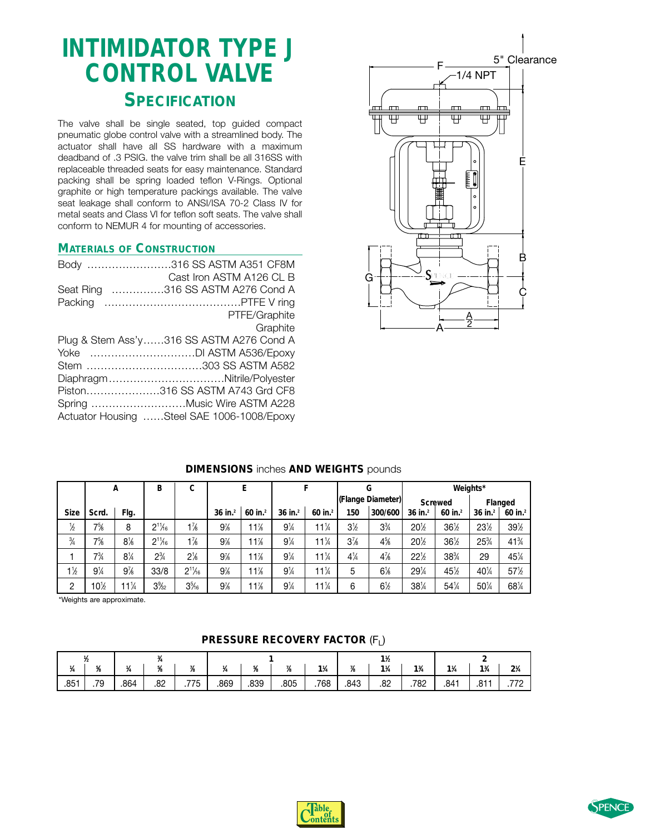### <span id="page-2-0"></span>**INTIMIDATOR TYPE J CONTROL VALVE SPECIFICATION**

The valve shall be single seated, top guided compact pneumatic globe control valve with a streamlined body. The actuator shall have all SS hardware with a maximum deadband of .3 PSIG. the valve trim shall be all 316SS with replaceable threaded seats for easy maintenance. Standard packing shall be spring loaded teflon V-Rings. Optional graphite or high temperature packings available. The valve seat leakage shall conform to ANSI/ISA 70-2 Class IV for metal seats and Class VI for teflon soft seats. The valve shall conform to NEMUR 4 for mounting of accessories.

#### **MATERIALS OF CONSTRUCTION**

| Body 316 SS ASTM A351 CF8M                 |
|--------------------------------------------|
| Cast Iron ASTM A126 CL B                   |
| Seat Ring 316 SS ASTM A276 Cond A          |
|                                            |
| PTFE/Graphite                              |
| Graphite                                   |
| Plug & Stem Ass'y316 SS ASTM A276 Cond A   |
|                                            |
| Stem 303 SS ASTM A582                      |
| DiaphragmNitrile/Polyester                 |
| Piston316 SS ASTM A743 Grd CF8             |
|                                            |
| Actuator Housing Steel SAE 1006-1008/Epoxy |
|                                            |



|                |                | A                              | В               | C              |                       | E          |                |                 |                | G                 |                 | Weights*       |                       |                 |
|----------------|----------------|--------------------------------|-----------------|----------------|-----------------------|------------|----------------|-----------------|----------------|-------------------|-----------------|----------------|-----------------------|-----------------|
|                |                |                                |                 |                |                       |            |                |                 |                | (Flange Diameter) |                 | <b>Screwed</b> |                       | Flanged         |
| <b>Size</b>    | Scrd.          | Flg.                           |                 |                | $36$ in. <sup>2</sup> | 60 in. $2$ | $36$ in. $2$   | 60 in. $2$      | 150            | 300/600           | $36$ in. $2$    | 60 in. $^{2}$  | $36$ in. <sup>2</sup> | 60 in. $2$      |
| $\frac{1}{2}$  | $7\frac{5}{6}$ | 8                              | $2^{11}/6$      | $1\frac{7}{8}$ | 9%                    | 11%        | $9\frac{1}{4}$ | 11%             | $3\frac{1}{2}$ | $3\frac{3}{4}$    | 20%             | 36½            | 23½                   | 39%             |
| $\frac{3}{4}$  | $7\frac{5}{6}$ | $8\%$                          | $2^{11}/6$      | $1\frac{7}{8}$ | 9%                    | 11%        | $9\frac{1}{4}$ | $11\frac{1}{4}$ | $3\frac{7}{8}$ | $4\frac{5}{8}$    | $20\frac{1}{2}$ | $36\%$         | 25%                   | $41\frac{3}{4}$ |
|                | $7\frac{3}{4}$ | $8\frac{1}{4}$                 | $2\frac{3}{4}$  | $2\frac{1}{8}$ | 9%                    | 11%        | $9\frac{1}{4}$ | $11\frac{1}{4}$ | $4\frac{1}{4}$ | $4\frac{7}{8}$    | 22%             | 38%            | 29                    | 451/4           |
| $1\frac{1}{2}$ | $9\frac{1}{4}$ | 9%                             | 33/8            | $2^{11}/6$     | 9%                    | 1%         | $9\frac{1}{4}$ | $11\frac{1}{4}$ | 5              | $6\%$             | $29\%$          | 45%            | 401/4                 | 57%             |
| 2              | $10\%$         | 11 <sup>1</sup> / <sub>4</sub> | $3\frac{9}{32}$ | $3\%$          | 9%                    | $1\%$      | $9\frac{1}{4}$ | $11\frac{1}{4}$ | 6              | $6\frac{1}{2}$    | $38\%$          | $54\%$         | $50\%$                | $68\%$          |

#### **DIMENSIONS** inches **AND WEIGHTS** pounds

\*Weights are approximate.

#### **PRESSURE RECOVERY FACTOR (F<sub>I</sub>)**

|      |                     |      |     |      |      |            |      |                |            | $1\frac{1}{2}$ |                               |                |                 |                |
|------|---------------------|------|-----|------|------|------------|------|----------------|------------|----------------|-------------------------------|----------------|-----------------|----------------|
|      | 5L<br>$\mathcal{R}$ |      | ĸ   | 78   |      | 5,<br>- 70 | 75   | $1\frac{1}{4}$ | 7.5<br>IB. | $1\frac{1}{4}$ | 1 <sup>3</sup> / <sub>4</sub> | $1\frac{1}{4}$ | $1\frac{3}{4}$  | $2\frac{1}{4}$ |
| .851 | .79                 | .864 | .82 | .775 | .869 | .839       | .805 | .768           | .843       | .82            | .782                          | .841           | $0 + 1$<br>ا ٥. | 770            |

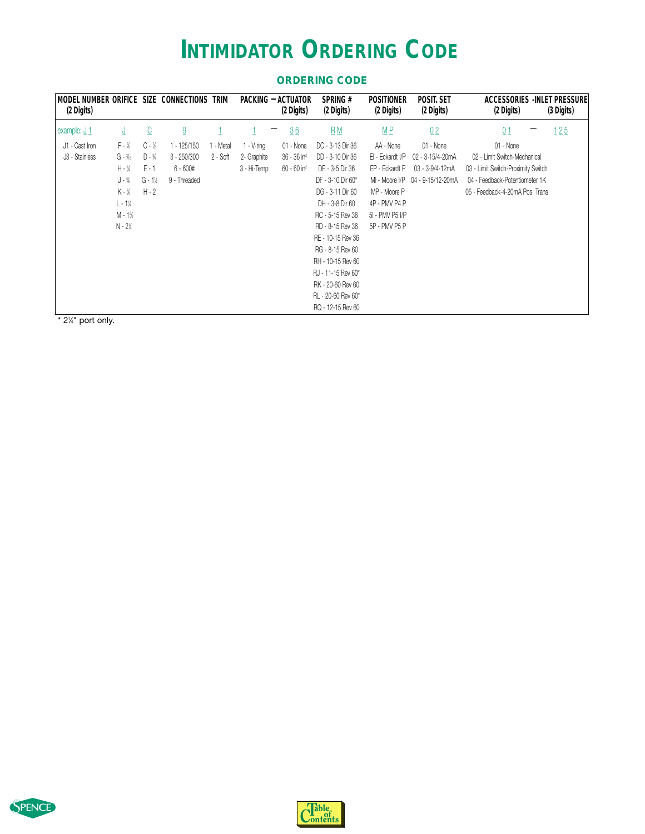### **INTIMIDATOR ORDERING CODE**

<span id="page-3-0"></span>

| MODEL NUMBER ORIFICE SIZE CONNECTIONS<br>(2 Digits) |                                             |                         |               | trim      |               | PACKING - ACTUATOR<br>(2 Digits) | <b>SPRING#</b><br>(2 Digits) | <b>POSITIONER</b><br>(2 Digits) | POSIT. SET<br>(2 Digits) | ACCESSORIES - INLET PRESSURE<br>(2 Digits) | (3 Digits) |
|-----------------------------------------------------|---------------------------------------------|-------------------------|---------------|-----------|---------------|----------------------------------|------------------------------|---------------------------------|--------------------------|--------------------------------------------|------------|
| example: J 1                                        | ⊻                                           | $\overline{\mathbb{C}}$ | 9             |           |               | 36                               | $B_{\underline{M}}$          | $M P$                           | 02                       | 01                                         | 125        |
| J1 - Cast Iron                                      | $F - \frac{1}{8}$                           | $C - \frac{1}{2}$       | $1 - 125/150$ | 1 - Metal | $1 - V$ -ring | 01 - None                        | DC - 3-13 Dir 36             | AA - None                       | 01 - None                | 01 - None                                  |            |
| J3 - Stainless                                      | $G - \frac{3}{16}$                          | $D - \frac{3}{4}$       | $3 - 250/300$ | 2 - Soft  | 2- Graphite   | $36 - 36$ in <sup>2</sup>        | DD - 3-10 Dir 36             | EI - Eckardt I/P                | 02 - 3-15/4-20mA         | 02 - Limit Switch-Mechanical               |            |
|                                                     | $H - \frac{1}{4}$                           | $E - 1$                 | $6 - 600#$    |           | 3 - Hi-Temp   | $60 - 60$ in <sup>2</sup>        | DE - 3-5 Dir 36              | EP - Eckardt P                  | 03 - 3-9/4-12mA          | 03 - Limit Switch-Proximity Switch         |            |
|                                                     | $J - \%$                                    | $G - 1$                 | 9 - Threaded  |           |               |                                  | DF - 3-10 Dir 60*            | MI - Moore I/P                  | 04 - 9-15/12-20mA        | 04 - Feedback-Potentiometer 1K             |            |
|                                                     | K - 1/8                                     | $H - 2$                 |               |           |               |                                  | DG - 3-11 Dir 60             | MP - Moore P                    |                          | 05 - Feedback-4-20mA Pos. Trans            |            |
|                                                     | $L - 1$ <sup><math>\frac{1}{4}</math></sup> |                         |               |           |               |                                  | DH - 3-8 Dir 60              | 4P - PMV P4 P                   |                          |                                            |            |
|                                                     | $M - 1\%$                                   |                         |               |           |               |                                  | RC - 5-15 Rev 36             | 51 - PMV P5 I/P                 |                          |                                            |            |
|                                                     | $N - 2\%$                                   |                         |               |           |               |                                  | RD - 8-15 Rev 36             | 5P - PMV P5 P                   |                          |                                            |            |
|                                                     |                                             |                         |               |           |               |                                  | RE - 10-15 Rev 36            |                                 |                          |                                            |            |
|                                                     |                                             |                         |               |           |               |                                  | RG - 8-15 Rev 60             |                                 |                          |                                            |            |
|                                                     |                                             |                         |               |           |               |                                  | RH - 10-15 Rev 60            |                                 |                          |                                            |            |
|                                                     |                                             |                         |               |           |               |                                  | RJ - 11-15 Rev 60*           |                                 |                          |                                            |            |
|                                                     |                                             |                         |               |           |               |                                  | RK - 20-60 Rev 60            |                                 |                          |                                            |            |
|                                                     |                                             |                         |               |           |               |                                  | RL - 20-60 Rev 60*           |                                 |                          |                                            |            |
|                                                     |                                             |                         |               |           |               |                                  | RQ - 12-15 Rev 60            |                                 |                          |                                            |            |

#### **ORDERING CODE**

 $*$  2¼" port only.



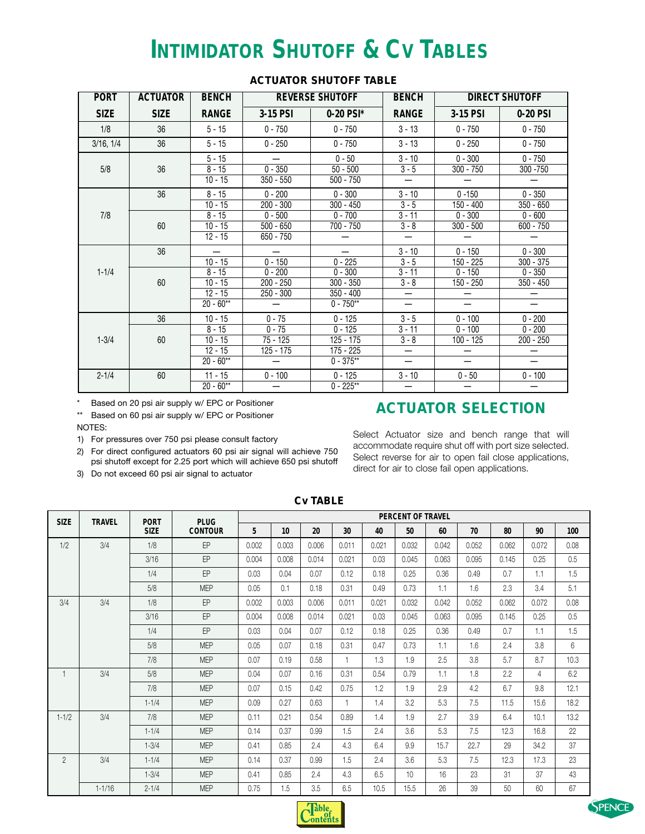### **INTIMIDATOR SHUTOFF & CV TABLES**

<span id="page-4-0"></span>

| <b>PORT</b> | <b>ACTUATOR</b> | <b>BENCH</b>                                      |                                       | <b>REVERSE SHUTOFF</b>                                 | <b>BENCH</b>                                                                |                                  | <b>DIRECT SHUTOFF</b>         |
|-------------|-----------------|---------------------------------------------------|---------------------------------------|--------------------------------------------------------|-----------------------------------------------------------------------------|----------------------------------|-------------------------------|
| <b>SIZE</b> | <b>SIZE</b>     | <b>RANGE</b>                                      | 3-15 PSI                              | 0-20 PSI*                                              | <b>RANGE</b>                                                                | 3-15 PSI                         | 0-20 PSI                      |
| 1/8         | 36              | $5 - 15$                                          | $0 - 750$                             | $0 - 750$                                              | $3 - 13$                                                                    | $0 - 750$                        | $0 - 750$                     |
| 3/16, 1/4   | 36              | $5 - 15$                                          | $0 - 250$                             | $0 - 750$                                              | $3 - 13$                                                                    | $0 - 250$                        | $0 - 750$                     |
| 5/8         | 36              | $5 - 15$<br>$8 - 15$<br>$10 - 15$                 | $0 - 350$<br>$350 - 550$              | $0 - 50$<br>$50 - 500$<br>$500 - 750$                  | $3 - 10$<br>$3 - 5$<br>$\overline{\phantom{0}}$                             | $0 - 300$<br>$300 - 750$         | $0 - 750$<br>300 - 750        |
|             | 36              | $8 - 15$<br>$10 - 15$                             | $0 - 200$<br>$200 - 300$              | $0 - 300$<br>$300 - 450$                               | $3 - 10$<br>$3 - 5$                                                         | $0 - 150$<br>$150 - 400$         | $0 - 350$<br>$350 - 650$      |
| 7/8         | 60              | $8 - 15$<br>$10 - 15$<br>$12 - 15$                | $0 - 500$<br>$500 - 650$<br>650 - 750 | $0 - 700$<br>$700 - 750$                               | $3 - 11$<br>$3 - 8$<br>—                                                    | $0 - 300$<br>$300 - 500$         | $0 - 600$<br>$600 - 750$      |
|             | 36              | $10 - 15$                                         | $0 - 150$                             | $0 - 225$                                              | $3 - 10$<br>$3 - 5$                                                         | $0 - 150$<br>150 - 225           | $0 - 300$<br>$300 - 375$      |
| $1 - 1/4$   | 60              | $8 - 15$<br>$10 - 15$<br>$12 - 15$<br>$20 - 60**$ | $0 - 200$<br>$200 - 250$<br>250 - 300 | $0 - 300$<br>$300 - 350$<br>$350 - 400$<br>$0 - 750**$ | $3 - 11$<br>$3 - 8$<br>$\overline{\phantom{0}}$<br>$\overline{\phantom{0}}$ | $0 - 150$<br>150 - 250<br>—<br>— | $0 - 350$<br>$350 - 450$<br>— |
|             | 36              | $10 - 15$<br>$8 - 15$                             | $0 - 75$<br>$0 - 75$                  | $0 - 125$<br>$0 - 125$                                 | $3 - 5$<br>$3 - 11$                                                         | $0 - 100$<br>$0 - 100$           | $0 - 200$<br>$0 - 200$        |
| $1 - 3/4$   | 60              | $10 - 15$<br>$12 - 15$<br>$20 - 60**$             | $75 - 125$<br>125 - 175               | $125 - 175$<br>175 - 225<br>$0 - 375**$                | $3 - 8$<br>—<br>—                                                           | $100 - 125$<br>-<br>━            | 200 - 250<br>—<br>—           |
| $2 - 1/4$   | 60              | $11 - 15$<br>$20 - 60**$                          | $0 - 100$                             | $0 - 125$<br>$0 - 225**$                               | $3 - 10$                                                                    | $0 - 50$                         | $0 - 100$                     |

#### **ACTUATOR SHUTOFF TABLE**

\* Based on 20 psi air supply w/ EPC or Positioner

### **ACTUATOR SELECTION**

\*\* Based on 60 psi air supply w/ EPC or Positioner

NOTES:

1) For pressures over 750 psi please consult factory

- 2) For direct configured actuators 60 psi air signal will achieve 750 psi shutoff except for 2.25 port which will achieve 650 psi shutoff
- 3) Do not exceed 60 psi air signal to actuator

Select Actuator size and bench range that will accommodate require shut off with port size selected. Select reverse for air to open fail close applications, direct for air to close fail open applications.

| <b>SIZE</b>    | <b>TRAVEL</b> | <b>PORT</b> | <b>PLUG</b>    |       |       |       |                |       | PERCENT OF TRAVEL |       |       |       |       |      |
|----------------|---------------|-------------|----------------|-------|-------|-------|----------------|-------|-------------------|-------|-------|-------|-------|------|
|                |               | <b>SIZE</b> | <b>CONTOUR</b> | 5     | 10    | 20    | 30             | 40    | 50                | 60    | 70    | 80    | 90    | 100  |
| 1/2            | 3/4           | 1/8         | EP             | 0.002 | 0.003 | 0.006 | 0.011          | 0.021 | 0.032             | 0.042 | 0.052 | 0.062 | 0.072 | 0.08 |
|                |               | 3/16        | EP             | 0.004 | 0.008 | 0.014 | 0.021          | 0.03  | 0.045             | 0.063 | 0.095 | 0.145 | 0.25  | 0.5  |
|                |               | 1/4         | EP             | 0.03  | 0.04  | 0.07  | 0.12           | 0.18  | 0.25              | 0.36  | 0.49  | 0.7   | 1.1   | 1.5  |
|                |               | 5/8         | <b>MEP</b>     | 0.05  | 0.1   | 0.18  | 0.31           | 0.49  | 0.73              | 1.1   | 1.6   | 2.3   | 3.4   | 5.1  |
| 3/4            | 3/4           | 1/8         | EP             | 0.002 | 0.003 | 0.006 | 0.011          | 0.021 | 0.032             | 0.042 | 0.052 | 0.062 | 0.072 | 0.08 |
|                |               | 3/16        | EP             | 0.004 | 0.008 | 0.014 | 0.021          | 0.03  | 0.045             | 0.063 | 0.095 | 0.145 | 0.25  | 0.5  |
|                |               | 1/4         | EP             | 0.03  | 0.04  | 0.07  | 0.12           | 0.18  | 0.25              | 0.36  | 0.49  | 0.7   | 1.1   | 1.5  |
|                |               | 5/8         | <b>MEP</b>     | 0.05  | 0.07  | 0.18  | 0.31           | 0.47  | 0.73              | 1.1   | 1.6   | 2.4   | 3.8   | 6    |
|                |               | 7/8         | <b>MEP</b>     | 0.07  | 0.19  | 0.58  | $\overline{1}$ | 1.3   | 1.9               | 2.5   | 3.8   | 5.7   | 8.7   | 10.3 |
| $\overline{1}$ | 3/4           | 5/8         | <b>MEP</b>     | 0.04  | 0.07  | 0.16  | 0.31           | 0.54  | 0.79              | 1.1   | 1.8   | 2.2   | 4     | 6.2  |
|                |               | 7/8         | <b>MEP</b>     | 0.07  | 0.15  | 0.42  | 0.75           | 1.2   | 1.9               | 2.9   | 4.2   | 6.7   | 9.8   | 12.1 |
|                |               | $1 - 1/4$   | <b>MEP</b>     | 0.09  | 0.27  | 0.63  | $\overline{1}$ | 1.4   | 3.2               | 5.3   | 7.5   | 11.5  | 15.6  | 18.2 |
| $1 - 1/2$      | 3/4           | 7/8         | <b>MEP</b>     | 0.11  | 0.21  | 0.54  | 0.89           | 1.4   | 1.9               | 2.7   | 3.9   | 6.4   | 10.1  | 13.2 |
|                |               | $1 - 1/4$   | <b>MEP</b>     | 0.14  | 0.37  | 0.99  | 1.5            | 2.4   | 3.6               | 5.3   | 7.5   | 12.3  | 16.8  | 22   |
|                |               | $1 - 3/4$   | <b>MEP</b>     | 0.41  | 0.85  | 2.4   | 4.3            | 6.4   | 9.9               | 15.7  | 22.7  | 29    | 34.2  | 37   |
| $\overline{2}$ | 3/4           | $1 - 1/4$   | <b>MEP</b>     | 0.14  | 0.37  | 0.99  | 1.5            | 2.4   | 3.6               | 5.3   | 7.5   | 12.3  | 17.3  | 23   |
|                |               | $1 - 3/4$   | <b>MEP</b>     | 0.41  | 0.85  | 2.4   | 4.3            | 6.5   | 10                | 16    | 23    | 31    | 37    | 43   |
|                | $1 - 1/16$    | $2 - 1/4$   | <b>MEP</b>     | 0.75  | 1.5   | 3.5   | 6.5            | 10.5  | 15.5              | 26    | 39    | 50    | 60    | 67   |

#### **Cv TABLE**



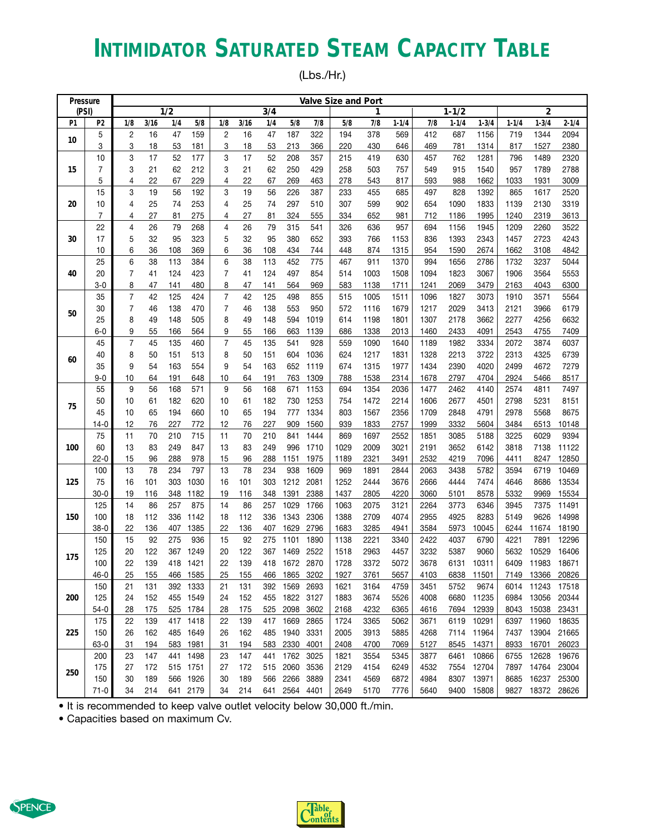# **INTIMIDATOR SATURATED STEAM CAPACITY TABLE**

(Lbs./Hr.)

| Pressure |              |                |          |            |            |                |          |            |               |              | <b>Valve Size and Port</b> |              |              |              |              |              |              |                  |               |
|----------|--------------|----------------|----------|------------|------------|----------------|----------|------------|---------------|--------------|----------------------------|--------------|--------------|--------------|--------------|--------------|--------------|------------------|---------------|
| (PSI)    |              |                |          | 1/2        |            |                |          | 3/4        |               |              |                            | 1            |              |              | $1 - 1/2$    |              |              | $\overline{2}$   |               |
| P1       | P2           | 1/8            | 3/16     | 1/4        | 5/8        | 1/8            | 3/16     | 1/4        | 5/8           | 7/8          | 5/8                        | 7/8          | $1 - 1/4$    | 7/8          | $1 - 1/4$    | $1 - 3/4$    | $1 - 1/4$    | $1 - 3/4$        | $2 - 1/4$     |
| 10       | 5            | $\overline{c}$ | 16       | 47         | 159        | 2              | 16       | 47         | 187           | 322          | 194                        | 378          | 569          | 412          | 687          | 1156         | 719          | 1344             | 2094          |
|          | 3            | 3              | 18       | 53         | 181        | 3              | 18       | 53         | 213           | 366          | 220                        | 430          | 646          | 469          | 781          | 1314         | 817          | 1527             | 2380          |
|          | 10           | 3              | 17       | 52         | 177        | 3              | 17       | 52         | 208           | 357          | 215                        | 419          | 630          | 457          | 762          | 1281         | 796          | 1489             | 2320          |
| 15       | 7            | 3              | 21       | 62         | 212        | 3              | 21       | 62         | 250           | 429          | 258                        | 503          | 757          | 549          | 915          | 1540         | 957          | 1789             | 2788          |
|          | 5            | 4              | 22       | 67         | 229        | 4              | 22       | 67         | 269           | 463          | 278                        | 543          | 817          | 593          | 988          | 1662         | 1033         | 1931             | 3009          |
|          | 15           | 3              | 19       | 56         | 192        | 3              | 19       | 56         | 226           | 387          | 233                        | 455          | 685          | 497          | 828          | 1392         | 865          | 1617             | 2520          |
| 20       | 10           | 4              | 25       | 74         | 253        | 4              | 25       | 74         | 297           | 510          | 307                        | 599          | 902          | 654          | 1090         | 1833         | 1139         | 2130             | 3319          |
|          | 7            | 4              | 27       | 81         | 275        | 4              | 27       | 81         | 324           | 555          | 334                        | 652          | 981          | 712          | 1186         | 1995         | 1240         | 2319             | 3613          |
|          | 22           | 4              | 26       | 79         | 268        | 4              | 26       | 79         | 315           | 541          | 326                        | 636          | 957          | 694          | 1156         | 1945         | 1209         | 2260             | 3522          |
| 30       | 17           | 5              | 32       | 95         | 323        | 5              | 32       | 95         | 380           | 652          | 393                        | 766          | 1153         | 836          | 1393         | 2343         | 1457         | 2723             | 4243          |
|          | 10           | 6              | 36       | 108        | 369        | 6              | 36       | 108        | 434           | 744          | 448                        | 874          | 1315         | 954          | 1590         | 2674         | 1662         | 3108             | 4842          |
|          | 25           | 6              | 38       | 113        | 384        | 6              | 38       | 113        | 452           | 775          | 467                        | 911          | 1370         | 994          | 1656         | 2786         | 1732         | 3237             | 5044          |
| 40       | 20           | $\overline{7}$ | 41       | 124        | 423        | 7              | 41       | 124        | 497           | 854          | 514                        | 1003         | 1508         | 1094         | 1823         | 3067         | 1906         | 3564             | 5553          |
|          | $3-0$        | 8              | 47       | 141        | 480        | 8              | 47       | 141        | 564           | 969          | 583                        | 1138         | 1711         | 1241         | 2069         | 3479         | 2163         | 4043             | 6300          |
|          | 35           | $\overline{7}$ | 42       | 125        | 424        | 7              | 42       | 125        | 498           | 855          | 515                        | 1005         | 1511         | 1096         | 1827         | 3073         | 1910         | 3571             | 5564          |
| 50       | 30           | $\overline{7}$ | 46       | 138        | 470        | 7              | 46       | 138        | 553           | 950          | 572                        | 1116         | 1679         | 1217         | 2029         | 3413         | 2121         | 3966             | 6179          |
|          | 25           | 8              | 49       | 148        | 505        | 8              | 49       | 148        | 594           | 1019         | 614                        | 1198         | 1801         | 1307         | 2178         | 3662         | 2277         | 4256             | 6632          |
|          | $6 - 0$      | 9              | 55       | 166        | 564        | 9              | 55       | 166        | 663           | 1139         | 686                        | 1338         | 2013         | 1460         | 2433         | 4091         | 2543         | 4755             | 7409          |
|          | 45           | $\overline{7}$ | 45       | 135        | 460        | $\overline{7}$ | 45       | 135        | 541           | 928          | 559                        | 1090         | 1640         | 1189         | 1982         | 3334         | 2072         | 3874             | 6037          |
| 60       | 40           | 8              | 50       | 151        | 513        | 8              | 50       | 151        | 604           | 1036         | 624                        | 1217         | 1831         | 1328         | 2213         | 3722         | 2313         | 4325             | 6739          |
|          | 35           | 9              | 54       | 163        | 554        | 9              | 54       | 163        | 652           | 1119         | 674                        | 1315         | 1977         | 1434         | 2390         | 4020         | 2499         | 4672             | 7279          |
|          | $9 - 0$      | 10             | 64       | 191        | 648        | 10             | 64       | 191        | 763           | 1309         | 788                        | 1538         | 2314         | 1678         | 2797         | 4704         | 2924         | 5466             | 8517          |
|          | 55           | 9              | 56       | 168        | 571        | 9              | 56       | 168        | 671           | 1153         | 694                        | 1354         | 2036         | 1477         | 2462         | 4140         | 2574         | 4811             | 7497          |
| 75       | 50           | 10             | 61       | 182        | 620        | 10             | 61       | 182        | 730           | 1253         | 754                        | 1472         | 2214         | 1606         | 2677         | 4501         | 2798         | 5231             | 8151          |
|          | 45           | 10             | 65       | 194        | 660        | 10             | 65       | 194        | 777           | 1334         | 803                        | 1567         | 2356         | 1709         | 2848         | 4791         | 2978         | 5568             | 8675          |
|          | $14-0$<br>75 | 12<br>11       | 76<br>70 | 227<br>210 | 772<br>715 | 12<br>11       | 76<br>70 | 227<br>210 | 909<br>841    | 1560<br>1444 | 939<br>869                 | 1833<br>1697 | 2757<br>2552 | 1999<br>1851 | 3332<br>3085 | 5604         | 3484<br>3225 | 6513<br>6029     | 10148<br>9394 |
| 100      | 60           | 13             | 83       | 249        | 847        | 13             | 83       | 249        | 996           | 1710         | 1029                       | 2009         | 3021         | 2191         | 3652         | 5188<br>6142 | 3818         | 7138             | 11122         |
|          | 22-0         | 15             | 96       | 288        | 978        | 15             | 96       | 288        | 1151          | 1975         | 1189                       | 2321         | 3491         | 2532         | 4219         | 7096         | 4411         | 8247             | 12850         |
|          | 100          | 13             | 78       | 234        | 797        | 13             | 78       | 234        | 938           | 1609         | 969                        | 1891         | 2844         | 2063         | 3438         | 5782         | 3594         | 6719             | 10469         |
| 125      | 75           | 16             | 101      | 303        | 1030       | 16             | 101      | 303        | 1212          | 2081         | 1252                       | 2444         | 3676         | 2666         | 4444         | 7474         | 4646         | 8686             | 13534         |
|          | $30-0$       | 19             | 116      | 348        | 1182       | 19             | 116      | 348        | 1391          | 2388         | 1437                       | 2805         | 4220         | 3060         | 5101         | 8578         | 5332         | 9969             | 15534         |
|          | 125          | 14             | 86       | 257        | 875        | 14             | 86       | 257        | 1029          | 1766         | 1063                       | 2075         | 3121         | 2264         | 3773         | 6346         | 3945         | 7375             | 11491         |
| 150      | 100          | 18             | 112      | 336        | 1142       | 18             | 112      | 336        | 1343          | 2306         | 1388                       | 2709         | 4074         | 2955         | 4925         | 8283         | 5149         | 9626             | 14998         |
|          | $38-0$       | 22             | 136      | 407        | 1385       | 22             | 136      | 407        | 1629          | 2796         | 1683                       | 3285         | 4941         | 3584         | 5973         | 10045        | 6244         | 11674            | 18190         |
|          | 150          | 15             | 92       | 275        | 936        | 15             | 92       | 275        | 1101          | 1890         | 1138                       | 2221         | 3340         | 2422         | 4037         | 6790         | 4221         | 7891             | 12296         |
|          | 125          | 20             | 122      | 367        | 1249       | 20             | 122      | 367        | 1469          | 2522         | 1518                       | 2963         | 4457         | 3232         | 5387         | 9060         | 5632         | 10529            | 16406         |
| 175      | 100          | 22             | 139      |            | 418 1421   | 22             | 139      |            | 418 1672      | 2870         | 1728                       | 3372         | 5072         | 3678         | 6131         | 10311        | 6409         | 11983            | 18671         |
|          | $46 - 0$     | 25             | 155      |            | 466 1585   | 25             | 155      |            | 466 1865 3202 |              | 1927                       | 3761         | 5657         | 4103         |              | 6838 11501   |              | 7149 13366 20826 |               |
|          | 150          | 21             | 131      |            | 392 1333   | 21             | 131      | 392        | 1569          | 2693         | 1621                       | 3164         | 4759         | 3451         | 5752         | 9674         | 6014         | 11243            | 17518         |
| 200      | 125          | 24             | 152      |            | 455 1549   | 24             | 152      | 455        | 1822 3127     |              | 1883                       | 3674         | 5526         | 4008         | 6680         | 11235        |              | 6984 13056       | 20344         |
|          | $54-0$       | 28             | 175      |            | 525 1784   | 28             | 175      | 525        | 2098 3602     |              | 2168                       | 4232         | 6365         | 4616         | 7694         | 12939        | 8043         | 15038            | 23431         |
|          | 175          | 22             | 139      |            | 417 1418   | 22             | 139      | 417        | 1669          | 2865         | 1724                       | 3365         | 5062         | 3671         | 6119         | 10291        | 6397         | 11960            | 18635         |
| 225      | 150          | 26             | 162      |            | 485 1649   | 26             | 162      | 485        | 1940 3331     |              | 2005                       | 3913         | 5885         | 4268         |              | 7114 11964   | 7437         | 13904            | 21665         |
|          | 63-0         | 31             | 194      |            | 583 1981   | 31             | 194      | 583        | 2330          | 4001         | 2408                       | 4700         | 7069         | 5127         |              | 8545 14371   | 8933         | 16701            | 26023         |
|          | 200          | 23             | 147      |            | 441 1498   | 23             | 147      | 441        | 1762 3025     |              | 1821                       | 3554         | 5345         | 3877         | 6461         | 10866        | 6755         | 12628            | 19676         |
|          | 175          | 27             | 172      |            | 515 1751   | 27             | 172      | 515        | 2060 3536     |              | 2129                       | 4154         | 6249         | 4532         |              | 7554 12704   |              | 7897 14764       | 23004         |
| 250      | 150          | 30             | 189      |            | 566 1926   | 30             | 189      |            | 566 2266 3889 |              | 2341                       | 4569         | 6872         | 4984         |              | 8307 13971   |              | 8685 16237 25300 |               |
|          | $71 - 0$     | 34             | 214      |            | 641 2179   |                | 34 214   |            | 641 2564 4401 |              | 2649                       | 5170         | 7776         | 5640         |              | 9400 15808   |              | 9827 18372 28626 |               |

• It is recommended to keep valve outlet velocity below 30,000 ft./min.



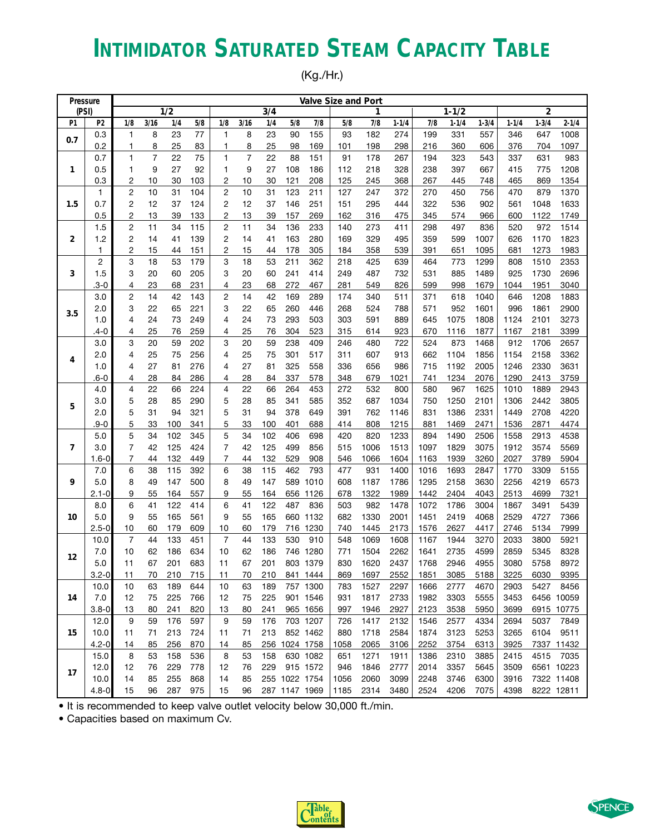# **INTIMIDATOR SATURATED STEAM CAPACITY TABLE**

(Kg./Hr.)

| Pressure |           |                         |                |                  |     |                |                |     |               |          | Valve Size and Port |      |           |      |           |           |           |                |            |
|----------|-----------|-------------------------|----------------|------------------|-----|----------------|----------------|-----|---------------|----------|---------------------|------|-----------|------|-----------|-----------|-----------|----------------|------------|
| (PSI)    |           |                         |                | $\overline{1/2}$ |     |                |                | 3/4 |               |          |                     | 1    |           |      | $1 - 1/2$ |           |           | $\overline{2}$ |            |
| P1       | P2        | 1/8                     | 3/16           | 1/4              | 5/8 | 1/8            | 3/16           | 1/4 | 5/8           | 7/8      | 5/8                 | 7/8  | $1 - 1/4$ | 7/8  | $1 - 1/4$ | $1 - 3/4$ | $1 - 1/4$ | $1 - 3/4$      | $2 - 1/4$  |
| 0.7      | 0.3       | 1                       | 8              | 23               | 77  | 1              | 8              | 23  | 90            | 155      | 93                  | 182  | 274       | 199  | 331       | 557       | 346       | 647            | 1008       |
|          | 0.2       | 1                       | 8              | 25               | 83  | 1              | 8              | 25  | 98            | 169      | 101                 | 198  | 298       | 216  | 360       | 606       | 376       | 704            | 1097       |
|          | 0.7       | $\mathbf{1}$            | $\overline{7}$ | 22               | 75  | 1              | $\overline{7}$ | 22  | 88            | 151      | 91                  | 178  | 267       | 194  | 323       | 543       | 337       | 631            | 983        |
| 1        | 0.5       | 1                       | 9              | 27               | 92  | 1              | 9              | 27  | 108           | 186      | 112                 | 218  | 328       | 238  | 397       | 667       | 415       | 775            | 1208       |
|          | 0.3       | $\overline{c}$          | 10             | 30               | 103 | 2              | 10             | 30  | 121           | 208      | 125                 | 245  | 368       | 267  | 445       | 748       | 465       | 869            | 1354       |
|          | 1         | $\overline{\mathbf{c}}$ | 10             | 31               | 104 | $\overline{c}$ | 10             | 31  | 123           | 211      | 127                 | 247  | 372       | 270  | 450       | 756       | 470       | 879            | 1370       |
| 1.5      | 0.7       | $\overline{2}$          | 12             | 37               | 124 | 2              | 12             | 37  | 146           | 251      | 151                 | 295  | 444       | 322  | 536       | 902       | 561       | 1048           | 1633       |
|          | 0.5       | $\overline{c}$          | 13             | 39               | 133 | 2              | 13             | 39  | 157           | 269      | 162                 | 316  | 475       | 345  | 574       | 966       | 600       | 1122           | 1749       |
|          | 1.5       | $\overline{\mathbf{c}}$ | 11             | 34               | 115 | 2              | 11             | 34  | 136           | 233      | 140                 | 273  | 411       | 298  | 497       | 836       | 520       | 972            | 1514       |
| 2        | 1.2       | 2                       | 14             | 41               | 139 | $\overline{c}$ | 14             | 41  | 163           | 280      | 169                 | 329  | 495       | 359  | 599       | 1007      | 626       | 1170           | 1823       |
|          | 1         | $\overline{\mathbf{c}}$ | 15             | 44               | 151 | $\overline{c}$ | 15             | 44  | 178           | 305      | 184                 | 358  | 539       | 391  | 651       | 1095      | 681       | 1273           | 1983       |
|          | 2         | 3                       | 18             | 53               | 179 | 3              | 18             | 53  | 211           | 362      | 218                 | 425  | 639       | 464  | 773       | 1299      | 808       | 1510           | 2353       |
| 3        | 1.5       | 3                       | 20             | 60               | 205 | 3              | 20             | 60  | 241           | 414      | 249                 | 487  | 732       | 531  | 885       | 1489      | 925       | 1730           | 2696       |
|          | $3 - 0$   | 4                       | 23             | 68               | 231 | 4              | 23             | 68  | 272           | 467      | 281                 | 549  | 826       | 599  | 998       | 1679      | 1044      | 1951           | 3040       |
|          | 3.0       | $\overline{\mathbf{c}}$ | 14             | 42               | 143 | $\overline{c}$ | 14             | 42  | 169           | 289      | 174                 | 340  | 511       | 371  | 618       | 1040      | 646       | 1208           | 1883       |
| 3.5      | 2.0       | 3                       | 22             | 65               | 221 | 3              | 22             | 65  | 260           | 446      | 268                 | 524  | 788       | 571  | 952       | 1601      | 996       | 1861           | 2900       |
|          | 1.0       | 4                       | 24             | 73               | 249 | 4              | 24             | 73  | 293           | 503      | 303                 | 591  | 889       | 645  | 1075      | 1808      | 1124      | 2101           | 3273       |
|          | .4-0      | 4                       | 25             | 76               | 259 | 4              | 25             | 76  | 304           | 523      | 315                 | 614  | 923       | 670  | 1116      | 1877      | 1167      | 2181           | 3399       |
|          | 3.0       | 3                       | 20             | 59               | 202 | 3              | 20             | 59  | 238           | 409      | 246                 | 480  | 722       | 524  | 873       | 1468      | 912       | 1706           | 2657       |
| 4        | 2.0       | 4                       | 25             | 75               | 256 | 4              | 25             | 75  | 301           | 517      | 311                 | 607  | 913       | 662  | 1104      | 1856      | 1154      | 2158           | 3362       |
|          | 1.0       | 4                       | 27             | 81               | 276 | 4              | 27             | 81  | 325           | 558      | 336                 | 656  | 986       | 715  | 1192      | 2005      | 1246      | 2330           | 3631       |
|          | .6-0      | 4                       | 28             | 84               | 286 | 4              | 28             | 84  | 337           | 578      | 348                 | 679  | 1021      | 741  | 1234      | 2076      | 1290      | 2413           | 3759       |
|          | 4.0       | 4                       | 22             | 66               | 224 | 4              | 22             | 66  | 264           | 453      | 272                 | 532  | 800       | 580  | 967       | 1625      | 1010      | 1889           | 2943       |
| 5        | 3.0       | 5                       | 28             | 85               | 290 | 5              | 28             | 85  | 341           | 585      | 352                 | 687  | 1034      | 750  | 1250      | 2101      | 1306      | 2442           | 3805       |
|          | 2.0       | 5                       | 31             | 94               | 321 | 5              | 31             | 94  | 378           | 649      | 391                 | 762  | 1146      | 831  | 1386      | 2331      | 1449      | 2708           | 4220       |
|          | .9-0      | 5                       | 33             | 100              | 341 | 5              | 33             | 100 | 401           | 688      | 414                 | 808  | 1215      | 881  | 1469      | 2471      | 1536      | 2871           | 4474       |
|          | 5.0       | 5                       | 34             | 102              | 345 | 5              | 34             | 102 | 406           | 698      | 420                 | 820  | 1233      | 894  | 1490      | 2506      | 1558      | 2913           | 4538       |
| 7        | 3.0       | 7                       | 42             | 125              | 424 | 7              | 42             | 125 | 499           | 856      | 515                 | 1006 | 1513      | 1097 | 1829      | 3075      | 1912      | 3574           | 5569       |
|          | $1.6 - 0$ | 7                       | 44             | 132              | 449 | 7              | 44             | 132 | 529           | 908      | 546                 | 1066 | 1604      | 1163 | 1939      | 3260      | 2027      | 3789           | 5904       |
|          | 7.0       | 6                       | 38             | 115              | 392 | 6              | 38             | 115 | 462           | 793      | 477                 | 931  | 1400      | 1016 | 1693      | 2847      | 1770      | 3309           | 5155       |
| 9        | 5.0       | 8                       | 49             | 147              | 500 | 8              | 49             | 147 | 589           | 1010     | 608                 | 1187 | 1786      | 1295 | 2158      | 3630      | 2256      | 4219           | 6573       |
|          | $2.1 - 0$ | 9                       | 55             | 164              | 557 | 9              | 55             | 164 | 656           | 1126     | 678                 | 1322 | 1989      | 1442 | 2404      | 4043      | 2513      | 4699           | 7321       |
|          | 8.0       | 6                       | 41             | 122              | 414 | 6              | 41             | 122 | 487           | 836      | 503                 | 982  | 1478      | 1072 | 1786      | 3004      | 1867      | 3491           | 5439       |
| 10       | 5.0       | 9                       | 55             | 165              | 561 | 9              | 55             | 165 | 660           | 1132     | 682                 | 1330 | 2001      | 1451 | 2419      | 4068      | 2529      | 4727           | 7366       |
|          | $2.5 - 0$ | 10                      | 60             | 179              | 609 | 10             | 60             | 179 |               | 716 1230 | 740                 | 1445 | 2173      | 1576 | 2627      | 4417      | 2746      | 5134           | 7999       |
|          | 10.0      | $\overline{7}$          | 44             | 133              | 451 | $\overline{7}$ | 44             | 133 | 530           | 910      | 548                 | 1069 | 1608      | 1167 | 1944      | 3270      | 2033      | 3800           | 5921       |
| 12       | 7.0       | 10                      | 62             | 186              | 634 | 10             | 62             | 186 |               | 746 1280 | 771                 | 1504 | 2262      | 1641 | 2735      | 4599      | 2859      | 5345           | 8328       |
|          | 5.0       | 11                      | 67             | 201              | 683 | 11             | 67             | 201 |               | 803 1379 | 830                 | 1620 | 2437      | 1768 | 2946      | 4955      | 3080      | 5758           | 8972       |
|          | $3.2 - 0$ | 11                      | 70             | 210              | 715 | 11             | 70             | 210 |               | 841 1444 | 869                 | 1697 | 2552      | 1851 | 3085      | 5188      | 3225      | 6030           | 9395       |
|          | 10.0      | 10                      | 63             | 189              | 644 | 10             | 63             | 189 |               | 757 1300 | 783                 | 1527 | 2297      | 1666 | 2777      | 4670      | 2903      | 5427           | 8456       |
| 14       | 7.0       | 12                      | 75             | 225              | 766 | 12             | 75             | 225 |               | 901 1546 | 931                 | 1817 | 2733      | 1982 | 3303      | 5555      | 3453      |                | 6456 10059 |
|          | $3.8 - 0$ | 13                      | 80             | 241              | 820 | 13             | 80             | 241 |               | 965 1656 | 997                 | 1946 | 2927      | 2123 | 3538      | 5950      | 3699      |                | 6915 10775 |
|          | 12.0      | 9                       | 59             | 176              | 597 | 9              | 59             | 176 |               | 703 1207 | 726                 | 1417 | 2132      | 1546 | 2577      | 4334      | 2694      | 5037           | 7849       |
| 15       | 10.0      | 11                      | 71             | 213              | 724 | 11             | 71             | 213 |               | 852 1462 | 880                 | 1718 | 2584      | 1874 | 3123      | 5253      | 3265      | 6104           | 9511       |
|          | $4.2 - 0$ | 14                      | 85             | 256              | 870 | 14             | 85             |     | 256 1024 1758 |          | 1058                | 2065 | 3106      | 2252 | 3754      | 6313      | 3925      |                | 7337 11432 |
|          | 15.0      | 8                       | 53             | 158              | 536 | 8              | 53             | 158 |               | 630 1082 | 651                 | 1271 | 1911      | 1386 | 2310      | 3885      | 2415      | 4515           | 7035       |
| 17       | 12.0      | 12                      | 76             | 229              | 778 | 12             | 76             | 229 |               | 915 1572 | 946                 | 1846 | 2777      | 2014 | 3357      | 5645      | 3509      |                | 6561 10223 |
|          | 10.0      | 14                      | 85             | 255              | 868 | 14             | 85             |     | 255 1022 1754 |          | 1056                | 2060 | 3099      | 2248 | 3746      | 6300      | 3916      |                | 7322 11408 |
|          | $4.8 - 0$ | 15                      | 96             | 287              | 975 | 15             | 96             |     | 287 1147 1969 |          | 1185                | 2314 | 3480      | 2524 | 4206      | 7075      | 4398      |                | 8222 12811 |

• It is recommended to keep valve outlet velocity below 30,000 ft./min.



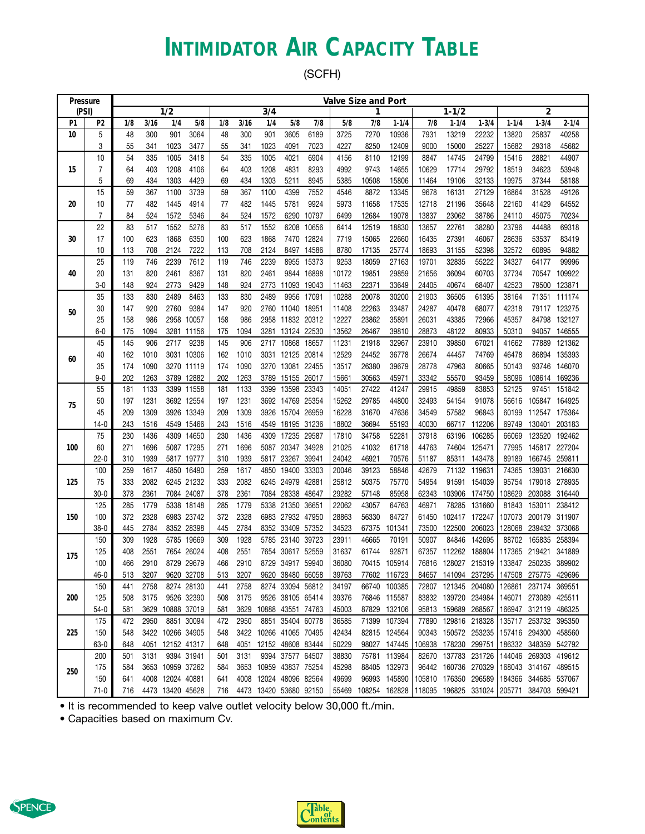### **INTIMIDATOR AIR CAPACITY TABLE**

(SCFH)

| Pressure |         |     |      |                  |            |     |      |      |                        |            |       | Valve Size and Port |               |       |                      |                                           |           |                      |              |
|----------|---------|-----|------|------------------|------------|-----|------|------|------------------------|------------|-------|---------------------|---------------|-------|----------------------|-------------------------------------------|-----------|----------------------|--------------|
| (PSI)    |         |     |      | 1/2              |            |     |      | 3/4  |                        |            |       | 1                   |               |       | $1 - 1/2$            |                                           |           | $\overline{2}$       |              |
| P1       | P2      | 1/8 | 3/16 | 1/4              | 5/8        | 1/8 | 3/16 | 1/4  | 5/8                    | 7/8        | 5/8   | 7/8                 | $1 - 1/4$     | 7/8   | $1 - 1/4$            | $1 - 3/4$                                 | $1 - 1/4$ | $1 - 3/4$            | $2 - 1/4$    |
| 10       | 5       | 48  | 300  | 901              | 3064       | 48  | 300  | 901  | 3605                   | 6189       | 3725  | 7270                | 10936         | 7931  | 13219                | 22232                                     | 13820     | 25837                | 40258        |
|          | 3       | 55  | 341  | 1023             | 3477       | 55  | 341  | 1023 | 4091                   | 7023       | 4227  | 8250                | 12409         | 9000  | 15000                | 25227                                     | 15682     | 29318                | 45682        |
|          | 10      | 54  | 335  | 1005             | 3418       | 54  | 335  | 1005 | 4021                   | 6904       | 4156  | 8110                | 12199         | 8847  | 14745                | 24799                                     | 15416     | 28821                | 44907        |
| 15       | 7       | 64  | 403  | 1208             | 4106       | 64  | 403  | 1208 | 4831                   | 8293       | 4992  | 9743                | 14655         | 10629 | 17714                | 29792                                     | 18519     | 34623                | 53948        |
|          | 5       | 69  | 434  | 1303             | 4429       | 69  | 434  | 1303 | 5211                   | 8945       | 5385  | 10508               | 15806         | 11464 | 19106                | 32133                                     | 19975     | 37344                | 58188        |
|          | 15      | 59  | 367  | 1100             | 3739       | 59  | 367  | 1100 | 4399                   | 7552       | 4546  | 8872                | 13345         | 9678  | 16131                | 27129                                     | 16864     | 31528                | 49126        |
| 20       | 10      | 77  | 482  | 1445             | 4914       | 77  | 482  | 1445 | 5781                   | 9924       | 5973  | 11658               | 17535         | 12718 | 21196                | 35648                                     | 22160     | 41429                | 64552        |
|          | 7       | 84  | 524  | 1572             | 5346       | 84  | 524  | 1572 | 6290                   | 10797      | 6499  | 12684               | 19078         | 13837 | 23062                | 38786                                     | 24110     | 45075                | 70234        |
|          | 22      | 83  | 517  | 1552             | 5276       | 83  | 517  | 1552 | 6208                   | 10656      | 6414  | 12519               | 18830         | 13657 | 22761                | 38280                                     | 23796     | 44488                | 69318        |
| 30       | 17      | 100 | 623  | 1868             | 6350       | 100 | 623  | 1868 |                        | 7470 12824 | 7719  | 15065               | 22660         | 16435 | 27391                | 46067                                     | 28636     | 53537                | 83419        |
|          | 10      | 113 | 708  | 2124             | 7222       | 113 | 708  | 2124 | 8497                   | 14586      | 8780  | 17135               | 25774         | 18693 | 31155                | 52398                                     | 32572     | 60895                | 94882        |
|          | 25      | 119 | 746  | 2239             | 7612       | 119 | 746  | 2239 | 8955                   | 15373      | 9253  | 18059               | 27163         | 19701 | 32835                | 55222                                     | 34327     | 64177                | 99996        |
| 40       | 20      | 131 | 820  | 2461             | 8367       | 131 | 820  | 2461 |                        | 9844 16898 | 10172 | 19851               | 29859         | 21656 | 36094                | 60703                                     | 37734     | 70547                | 109922       |
|          | $3-0$   | 148 | 924  | 2773             | 9429       | 148 | 924  | 2773 | 11093 19043            |            | 11463 | 22371               | 33649         | 24405 | 40674                | 68407                                     | 42523     | 79500                | 123871       |
|          | 35      | 133 | 830  | 2489             | 8463       | 133 | 830  | 2489 | 9956                   | 17091      | 10288 | 20078               | 30200         | 21903 | 36505                | 61395                                     | 38164     | 71351                | 111174       |
| 50       | 30      | 147 | 920  | 2760             | 9384       | 147 | 920  |      | 2760 11040 18951       |            | 11408 | 22263               | 33487         | 24287 | 40478                | 68077                                     | 42318     |                      | 79117 123275 |
|          | 25      | 158 | 986  | 2958             | 10057      | 158 | 986  | 2958 | 11832 20312            |            | 12227 | 23862               | 35891         | 26031 | 43385                | 72966                                     | 45357     | 84798                | 132127       |
|          | $6-0$   | 175 | 1094 | 3281             | 11156      | 175 | 1094 | 3281 | 13124 22530            |            | 13562 | 26467               | 39810         | 28873 | 48122                | 80933                                     | 50310     | 94057                | 146555       |
|          | 45      | 145 | 906  | 2717             | 9238       | 145 | 906  |      | 2717 10868 18657       |            | 11231 | 21918               | 32967         | 23910 | 39850                | 67021                                     | 41662     | 77889                | 121362       |
| 60       | 40      | 162 | 1010 |                  | 3031 10306 | 162 | 1010 | 3031 | 12125 20814            |            | 12529 | 24452               | 36778         | 26674 | 44457                | 74769                                     | 46478     | 86894                | 135393       |
|          | 35      | 174 | 1090 |                  | 3270 11119 | 174 | 1090 |      | 3270 13081 22455       |            | 13517 | 26380               | 39679         | 28778 | 47963                | 80665                                     | 50143     | 93746                | 146070       |
|          | $9 - 0$ | 202 | 1263 |                  | 3789 12882 | 202 | 1263 | 3789 | 15155 26017            |            | 15661 | 30563               | 45971         | 33342 | 55570                | 93459                                     | 58096     | 108614               | 169236       |
|          | 55      | 181 | 1133 |                  | 3399 11558 | 181 | 1133 | 3399 | 13598                  | 23343      | 14051 | 27422               | 41247         | 29915 | 49859                | 83853                                     | 52125     | 97451                | 151842       |
| 75       | 50      | 197 | 1231 |                  | 3692 12554 | 197 | 1231 |      | 3692 14769 25354       |            | 15262 | 29785               | 44800         | 32493 | 54154                | 91078                                     | 56616     | 105847               | 164925       |
|          | 45      | 209 | 1309 |                  | 3926 13349 | 209 | 1309 | 3926 | 15704 26959            |            | 16228 | 31670               | 47636         | 34549 | 57582                | 96843                                     | 60199     | 112547 175364        |              |
|          | 14-0    | 243 | 1516 |                  | 4549 15466 | 243 | 1516 | 4549 | 18195 31236            |            | 18802 | 36694               | 55193         | 40030 | 66717                | 112206                                    | 69749     | 130401               | 203183       |
|          | 75      | 230 | 1436 |                  | 4309 14650 | 230 | 1436 | 4309 | 17235                  | 29587      | 17810 | 34758               | 52281         | 37918 | 63196                | 106285                                    | 66069     | 123520               | 192462       |
| 100      | 60      | 271 | 1696 |                  | 5087 17295 | 271 | 1696 |      | 5087 20347 34928       |            | 21025 | 41032               | 61718         | 44763 | 74604                | 125471                                    | 77995     | 145817               | 227204       |
|          | $22-0$  | 310 | 1939 |                  | 5817 19777 | 310 | 1939 | 5817 | 23267                  | 39941      | 24042 | 46921               | 70576         | 51187 | 85311                | 143478                                    | 89189     | 166745               | 259811       |
|          | 100     | 259 | 1617 |                  | 4850 16490 | 259 | 1617 | 4850 | 19400                  | 33303      | 20046 | 39123               | 58846         | 42679 | 71132                | 119631                                    | 74365     | 139031               | 216630       |
| 125      | 75      | 333 | 2082 |                  | 6245 21232 | 333 | 2082 |      | 6245 24979             | 42881      | 25812 | 50375               | 75770         | 54954 |                      | 91591 154039                              | 95754     | 179018 278935        |              |
|          | $30-0$  | 378 | 2361 |                  | 7084 24087 | 378 | 2361 |      | 7084 28338             | 48647      | 29282 | 57148               | 85958         | 62343 |                      | 103906 174750                             | 108629    | 203088 316440        |              |
|          | 125     | 285 | 1779 |                  | 5338 18148 | 285 | 1779 |      | 5338 21350 36651       |            | 22062 | 43057               | 64763         | 46971 | 78285                | 131660                                    | 81843     | 153011               | 238412       |
| 150      | 100     | 372 | 2328 |                  | 6983 23742 | 372 | 2328 |      | 6983 27932 47950       |            | 28863 | 56330               | 84727         | 61450 | 102417 172247        |                                           | 107073    | 200179               | 311907       |
|          | $38-0$  | 445 | 2784 |                  | 8352 28398 | 445 | 2784 | 8352 | 33409                  | 57352      | 34523 | 67375               | 101341        | 73500 | 122500               | 206023                                    | 128068    | 239432               | 373068       |
|          | 150     | 309 | 1928 |                  | 5785 19669 | 309 | 1928 | 5785 | 23140                  | 39723      | 23911 | 46665               | 70191         | 50907 | 84846                | 142695                                    | 88702     | 165835               | 258394       |
| 175      | 125     | 408 | 2551 |                  | 7654 26024 | 408 | 2551 | 7654 | 30617 52559            |            | 31637 | 61744               | 92871         | 67357 | 112262 188804        |                                           | 117365    | 219421               | 341889       |
|          | 100     | 466 | 2910 |                  | 8729 29679 | 466 | 2910 |      | 8729 34917 59940       |            | 36080 | 70415               | 105914        | 76816 | 128027               | 215319                                    | 133847    | 250235               | 389902       |
|          | 46-0    | 513 | 3207 |                  | 9620 32708 | 513 | 3207 |      | 9620 38480 66058       |            | 39763 |                     | 77602 116723  |       |                      | 84657 141094 237295 147508 275775 429696  |           |                      |              |
|          | 150     | 441 | 2758 |                  | 8274 28130 | 441 | 2758 |      | 8274 33094 56812       |            | 34197 |                     | 66740 100385  |       |                      | 72807 121345 204080                       | 126861    | 237174 369551        |              |
| 200      | 125     | 508 | 3175 |                  | 9526 32390 | 508 | 3175 |      | 9526 38105 65414       |            | 39376 |                     | 76846 115587  |       |                      | 83832 139720 234984                       |           | 146071 273089 425511 |              |
|          | $54-0$  | 581 | 3629 | 10888 37019      |            | 581 | 3629 |      | 10888 43551 74763      |            | 45003 |                     | 87829 132106  |       | 95813 159689 268567  |                                           |           | 166947 312119        | 486325       |
|          | 175     | 472 | 2950 |                  | 8851 30094 | 472 | 2950 |      | 8851 35404 60778       |            | 36585 |                     | 71399 107394  |       | 77890 129816 218328  |                                           |           | 135717 253732 395350 |              |
| 225      | 150     | 548 |      | 3422 10266 34905 |            | 548 |      |      | 3422 10266 41065 70495 |            | 42434 |                     | 82815 124564  |       | 90343 150572 253235  |                                           |           | 157416 294300 458560 |              |
|          | 63-0    | 648 |      | 4051 12152 41317 |            | 648 | 4051 |      | 12152 48608 83444      |            | 50229 |                     | 98027 147445  |       | 106938 178230 299751 |                                           |           | 186332 348359 542792 |              |
|          | 200     | 501 | 3131 |                  | 9394 31941 | 501 | 3131 |      | 9394 37577 64507       |            | 38830 |                     | 75781 113984  |       | 82670 137783 231726  |                                           |           | 144046 269303 419612 |              |
|          | 175     | 584 |      | 3653 10959 37262 |            | 584 | 3653 |      | 10959 43837 75254      |            | 45298 |                     | 88405 132973  |       | 96442 160736 270329  |                                           |           | 168043 314167 489515 |              |
| 250      | 150     | 641 |      | 4008 12024 40881 |            | 641 |      |      | 4008 12024 48096 82564 |            | 49699 |                     | 96993 145890  |       | 105810 176350 296589 |                                           |           | 184366 344685 537067 |              |
|          | $71-0$  | 716 |      | 4473 13420 45628 |            | 716 |      |      | 4473 13420 53680 92150 |            | 55469 |                     | 108254 162828 |       |                      | 118095 196825 331024 205771 384703 599421 |           |                      |              |

• It is recommended to keep valve outlet velocity below 30,000 ft./min.



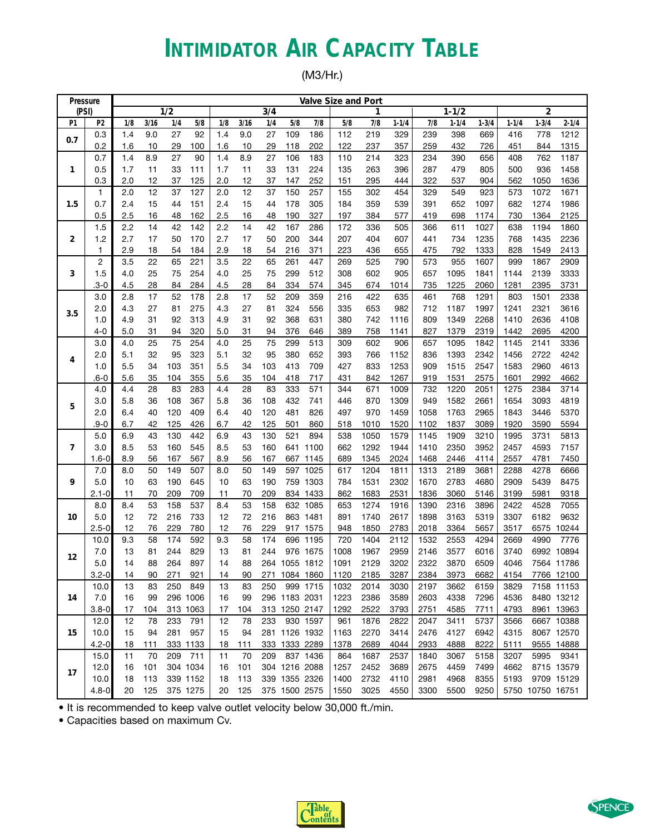# **INTIMIDATOR AIR CAPACITY TABLE**

(M3/Hr.)

| Pressure       |                   |            |          |                  |            |            |          |          |               |            | <b>Valve Size and Port</b> |            |            |            |            |              |            |                  |              |
|----------------|-------------------|------------|----------|------------------|------------|------------|----------|----------|---------------|------------|----------------------------|------------|------------|------------|------------|--------------|------------|------------------|--------------|
| (PSI)          |                   |            |          | $\overline{1/2}$ |            |            |          | 3/4      |               |            |                            | 1          |            |            | $1 - 1/2$  |              |            | $\overline{c}$   |              |
| P <sub>1</sub> | P <sub>2</sub>    | 1/8        | 3/16     | 1/4              | 5/8        | 1/8        | 3/16     | 1/4      | 5/8           | 7/8        | 5/8                        | 7/8        | $1 - 1/4$  | 7/8        | $1 - 1/4$  | $1 - 3/4$    | $1 - 1/4$  | $1 - 3/4$        | $2 - 1/4$    |
| 0.7            | 0.3               | 1.4        | 9.0      | 27               | 92         | 1.4        | 9.0      | 27       | 109           | 186        | 112                        | 219        | 329        | 239        | 398        | 669          | 416        | 778              | 1212         |
|                | 0.2               | 1.6        | 10       | 29               | 100        | 1.6        | 10       | 29       | 118           | 202        | 122                        | 237        | 357        | 259        | 432        | 726          | 451        | 844              | 1315         |
|                | 0.7               | 1.4        | 8.9      | 27               | 90         | 1.4        | 8.9      | 27       | 106           | 183        | 110                        | 214        | 323        | 234        | 390        | 656          | 408        | 762              | 1187         |
| 1              | 0.5               | 1.7        | 11       | 33               | 111        | 1.7        | 11       | 33       | 131           | 224        | 135                        | 263        | 396        | 287        | 479        | 805          | 500        | 936              | 1458         |
|                | 0.3               | 2.0        | 12       | 37               | 125        | 2.0        | 12       | 37       | 147           | 252        | 151                        | 295        | 444        | 322        | 537        | 904          | 562        | 1050             | 1636         |
|                | 1                 | 2.0        | 12       | 37               | 127        | 2.0        | 12       | 37       | 150           | 257        | 155                        | 302        | 454        | 329        | 549        | 923          | 573        | 1072             | 1671         |
| 1.5            | 0.7               | 2.4        | 15       | 44               | 151        | 2.4        | 15       | 44       | 178           | 305        | 184                        | 359        | 539        | 391        | 652        | 1097         | 682        | 1274             | 1986         |
|                | 0.5               | 2.5        | 16       | 48               | 162        | 2.5        | 16       | 48       | 190           | 327        | 197                        | 384        | 577        | 419        | 698        | 1174         | 730        | 1364             | 2125         |
|                | 1.5               | 2.2        | 14       | 42               | 142        | 2.2        | 14       | 42       | 167           | 286        | 172                        | 336        | 505        | 366        | 611        | 1027         | 638        | 1194             | 1860         |
| 2              | 1.2               | 2.7        | 17       | 50<br>54         | 170        | 2.7        | 17       | 50       | 200           | 344        | 207                        | 404        | 607        | 441        | 734        | 1235         | 768        | 1435             | 2236         |
|                | $\mathbf{1}$<br>2 | 2.9<br>3.5 | 18<br>22 | 65               | 184<br>221 | 2.9<br>3.5 | 18<br>22 | 54<br>65 | 216<br>261    | 371<br>447 | 223<br>269                 | 436<br>525 | 655<br>790 | 475<br>573 | 792<br>955 | 1333<br>1607 | 828<br>999 | 1549<br>1867     | 2413<br>2909 |
|                | 1.5               |            | 25       | 75               | 254        | 4.0        | 25       | 75       | 299           | 512        | 308                        | 602        | 905        | 657        | 1095       | 1841         | 1144       | 2139             | 3333         |
| 3              | .3-0              | 4.0<br>4.5 | 28       | 84               | 284        | 4.5        | 28       | 84       | 334           | 574        | 345                        | 674        | 1014       | 735        | 1225       | 2060         | 1281       | 2395             | 3731         |
|                | 3.0               | 2.8        | 17       | 52               | 178        | 2.8        | 17       | 52       | 209           | 359        | 216                        | 422        | 635        | 461        | 768        | 1291         | 803        | 1501             | 2338         |
|                | 2.0               | 4.3        | 27       | 81               | 275        | 4.3        | 27       | 81       | 324           | 556        | 335                        | 653        | 982        | 712        | 1187       | 1997         | 1241       | 2321             | 3616         |
| 3.5            | 1.0               | 4.9        | 31       | 92               | 313        | 4.9        | 31       | 92       | 368           | 631        | 380                        | 742        | 1116       | 809        | 1349       | 2268         | 1410       | 2636             | 4108         |
|                | $4 - 0$           | 5.0        | 31       | 94               | 320        | 5.0        | 31       | 94       | 376           | 646        | 389                        | 758        | 1141       | 827        | 1379       | 2319         | 1442       | 2695             | 4200         |
|                | 3.0               | 4.0        | 25       | 75               | 254        | 4.0        | 25       | 75       | 299           | 513        | 309                        | 602        | 906        | 657        | 1095       | 1842         | 1145       | 2141             | 3336         |
|                | 2.0               | 5.1        | 32       | 95               | 323        | 5.1        | 32       | 95       | 380           | 652        | 393                        | 766        | 1152       | 836        | 1393       | 2342         | 1456       | 2722             | 4242         |
| 4              | 1.0               | 5.5        | 34       | 103              | 351        | 5.5        | 34       | 103      | 413           | 709        | 427                        | 833        | 1253       | 909        | 1515       | 2547         | 1583       | 2960             | 4613         |
|                | .6-0              | 5.6        | 35       | 104              | 355        | 5.6        | 35       | 104      | 418           | 717        | 431                        | 842        | 1267       | 919        | 1531       | 2575         | 1601       | 2992             | 4662         |
|                | 4.0               | 4.4        | 28       | 83               | 283        | 4.4        | 28       | 83       | 333           | 571        | 344                        | 671        | 1009       | 732        | 1220       | 2051         | 1275       | 2384             | 3714         |
|                | 3.0               | 5.8        | 36       | 108              | 367        | 5.8        | 36       | 108      | 432           | 741        | 446                        | 870        | 1309       | 949        | 1582       | 2661         | 1654       | 3093             | 4819         |
| 5              | 2.0               | 6.4        | 40       | 120              | 409        | 6.4        | 40       | 120      | 481           | 826        | 497                        | 970        | 1459       | 1058       | 1763       | 2965         | 1843       | 3446             | 5370         |
|                | .9-0              | 6.7        | 42       | 125              | 426        | 6.7        | 42       | 125      | 501           | 860        | 518                        | 1010       | 1520       | 1102       | 1837       | 3089         | 1920       | 3590             | 5594         |
|                | 5.0               | 6.9        | 43       | 130              | 442        | 6.9        | 43       | 130      | 521           | 894        | 538                        | 1050       | 1579       | 1145       | 1909       | 3210         | 1995       | 3731             | 5813         |
| 7              | 3.0               | 8.5        | 53       | 160              | 545        | 8.5        | 53       | 160      |               | 641 1100   | 662                        | 1292       | 1944       | 1410       | 2350       | 3952         | 2457       | 4593             | 7157         |
|                | $1.6 - 0$         | 8.9        | 56       | 167              | 567        | 8.9        | 56       | 167      |               | 667 1145   | 689                        | 1345       | 2024       | 1468       | 2446       | 4114         | 2557       | 4781             | 7450         |
|                | 7.0               | 8.0        | 50       | 149              | 507        | 8.0        | 50       | 149      |               | 597 1025   | 617                        | 1204       | 1811       | 1313       | 2189       | 3681         | 2288       | 4278             | 6666         |
| 9              | 5.0               | 10         | 63       | 190              | 645        | 10         | 63       | 190      | 759           | 1303       | 784                        | 1531       | 2302       | 1670       | 2783       | 4680         | 2909       | 5439             | 8475         |
|                | $2.1 - 0$         | 11         | 70       | 209              | 709        | 11         | 70       | 209      |               | 834 1433   | 862                        | 1683       | 2531       | 1836       | 3060       | 5146         | 3199       | 5981             | 9318         |
|                | 8.0               | 8.4        | 53       | 158              | 537        | 8.4        | 53       | 158      |               | 632 1085   | 653                        | 1274       | 1916       | 1390       | 2316       | 3896         | 2422       | 4528             | 7055         |
| 10             | 5.0               | 12         | 72       | 216              | 733        | 12         | 72       | 216      |               | 863 1481   | 891                        | 1740       | 2617       | 1898       | 3163       | 5319         | 3307       | 6182             | 9632         |
|                | $2.5 - 0$         | 12         | 76       | 229              | 780        | 12         | 76       | 229      |               | 917 1575   | 948                        | 1850       | 2783       | 2018       | 3364       | 5657         | 3517       | 6575             | 10244        |
|                | 10.0              | 9.3        | 58       | 174              | 592        | 9.3        | 58       | 174      |               | 696 1195   | 720                        | 1404       | 2112       | 1532       | 2553       | 4294         | 2669       | 4990             | 7776         |
| 12             | $7.0$             | 13         | 81       | 244              | 829        | 13         | 81       | 244      |               | 976 1675   | 1008                       | 1967       | 2959       | 2146       | 3577       | 6016         | 3740       |                  | 6992 10894   |
|                | 5.0               | 14         | 88       | 264              | 897        | 14         | 88       |          | 264 1055 1812 |            | 1091                       | 2129       | 3202       | 2322       | 3870       | 6509         | 4046       |                  | 7564 11786   |
|                | $3.2 - 0$         | 14         | 90       | 271              | 921        | 14         | 90       |          | 271 1084 1860 |            | 1120                       | 2185       | 3287       | 2384       | 3973       | 6682         | 4154       |                  | 7766 12100   |
|                | 10.0              | 13         | 83       | 250              | 849        | 13         | 83       | 250      |               | 999 1715   | 1032                       | 2014       | 3030       | 2197       | 3662       | 6159         | 3829       |                  | 7158 11153   |
| 14             | 7.0               | 16         | 99       |                  | 296 1006   | 16         | 99       |          | 296 1183 2031 |            | 1223                       | 2386       | 3589       | 2603       | 4338       | 7296         | 4536       |                  | 8480 13212   |
|                | $3.8 - 0$         | 17         | 104      |                  | 313 1063   | 17         | 104      |          | 313 1250 2147 |            | 1292                       | 2522       | 3793       | 2751       | 4585       | 7711         | 4793       |                  | 8961 13963   |
|                | 12.0              | 12         | 78       | 233              | 791        | 12         | 78       | 233      | 930 1597      |            | 961                        | 1876       | 2822       | 2047       | 3411       | 5737         | 3566       |                  | 6667 10388   |
| 15             | 10.0              | 15         | 94       | 281              | 957        | 15         | 94       |          | 281 1126 1932 |            | 1163                       | 2270       | 3414       | 2476       | 4127       | 6942         | 4315       |                  | 8067 12570   |
|                | $4.2 - 0$         | 18         | 111      |                  | 333 1133   | 18         | 111      |          | 333 1333 2289 |            | 1378                       | 2689       | 4044       | 2933       | 4888       | 8222         | 5111       |                  | 9555 14888   |
|                | 15.0              | 11         | 70       | 209              | 711        | 11         | 70       | 209      |               | 837 1436   | 864                        | 1687       | 2537       | 1840       | 3067       | 5158         | 3207       | 5995             | 9341         |
| 17             | 12.0              | 16         | 101      |                  | 304 1034   | 16         | 101      |          | 304 1216 2088 |            | 1257                       | 2452       | 3689       | 2675       | 4459       | 7499         | 4662       |                  | 8715 13579   |
|                | 10.0              | 18         | 113      |                  | 339 1152   | 18         | 113      |          | 339 1355 2326 |            | 1400                       | 2732       | 4110       | 2981       | 4968       | 8355         | 5193       |                  | 9709 15129   |
|                | $4.8 - 0$         | 20         | 125      |                  | 375 1275   | 20         | 125      |          | 375 1500 2575 |            | 1550                       | 3025       | 4550       | 3300       | 5500       | 9250         |            | 5750 10750 16751 |              |

• It is recommended to keep valve outlet velocity below 30,000 ft./min.



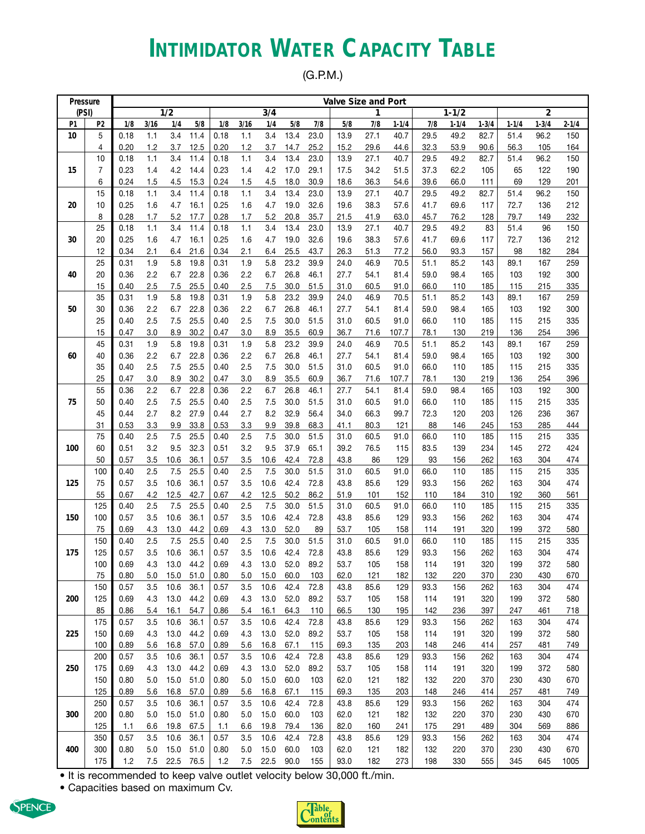### **INTIMIDATOR WATER CAPACITY TABLE**

(G.P.M.)

| Pressure |            |              |            |              |              |              |            |              |              |              | Valve Size and Port |              |              |              |              |            |             |                |            |
|----------|------------|--------------|------------|--------------|--------------|--------------|------------|--------------|--------------|--------------|---------------------|--------------|--------------|--------------|--------------|------------|-------------|----------------|------------|
| (PSI)    |            |              |            | 1/2          |              |              |            | 3/4          |              |              |                     | 1            |              |              | $1 - 1/2$    |            |             | $\overline{2}$ |            |
| P1       | P2         | 1/8          | 3/16       | 1/4          | 5/8          | 1/8          | 3/16       | 1/4          | 5/8          | 7/8          | 5/8                 | 7/8          | $1 - 1/4$    | 7/8          | $1 - 1/4$    | $1 - 3/4$  | $1 - 1/4$   | $1 - 3/4$      | $2 - 1/4$  |
| 10       | 5          | 0.18         | 1.1        | 3.4          | 11.4         | 0.18         | 1.1        | 3.4          | 13.4         | 23.0         | 13.9                | 27.1         | 40.7         | 29.5         | 49.2         | 82.7       | 51.4        | 96.2           | 150        |
|          | 4          | 0.20         | 1.2        | 3.7          | 12.5         | 0.20         | 1.2        | 3.7          | 14.7         | 25.2         | 15.2                | 29.6         | 44.6         | 32.3         | 53.9         | 90.6       | 56.3        | 105            | 164        |
|          | 10         | 0.18         | 1.1        | 3.4          | 11.4         | 0.18         | 1.1        | 3.4          | 13.4         | 23.0         | 13.9                | 27.1         | 40.7         | 29.5         | 49.2         | 82.7       | 51.4        | 96.2           | 150        |
| 15       | 7          | 0.23         | 1.4        | 4.2          | 14.4         | 0.23         | 1.4        | 4.2          | 17.0         | 29.1         | 17.5                | 34.2         | 51.5         | 37.3         | 62.2         | 105        | 65          | 122            | 190        |
|          | 6          | 0.24         | 1.5        | 4.5          | 15.3         | 0.24         | 1.5        | 4.5          | 18.0         | 30.9         | 18.6                | 36.3         | 54.6         | 39.6         | 66.0         | 111        | 69          | 129            | 201        |
|          | 15         | 0.18         | 1.1        | 3.4          | 11.4         | 0.18         | 1.1        | 3.4          | 13.4         | 23.0         | 13.9                | 27.1         | 40.7         | 29.5         | 49.2         | 82.7       | 51.4        | 96.2           | 150        |
| 20       | 10         | 0.25         | 1.6        | 4.7          | 16.1         | 0.25         | 1.6        | 4.7          | 19.0         | 32.6         | 19.6                | 38.3         | 57.6         | 41.7         | 69.6         | 117        | 72.7        | 136            | 212        |
|          | 8          | 0.28         | 1.7        | 5.2          | 17.7         | 0.28         | 1.7        | 5.2          | 20.8         | 35.7         | 21.5                | 41.9         | 63.0         | 45.7         | 76.2         | 128        | 79.7        | 149            | 232        |
|          | 25         | 0.18         | 1.1        | 3.4<br>4.7   | 11.4         | 0.18         | 1.1        | 3.4          | 13.4         | 23.0         | 13.9                | 27.1<br>38.3 | 40.7         | 29.5         | 49.2         | 83         | 51.4        | 96             | 150        |
| 30       | 20<br>12   | 0.25<br>0.34 | 1.6<br>2.1 | 6.4          | 16.1<br>21.6 | 0.25<br>0.34 | 1.6<br>2.1 | 4.7<br>6.4   | 19.0<br>25.5 | 32.6<br>43.7 | 19.6<br>26.3        | 51.3         | 57.6<br>77.2 | 41.7<br>56.0 | 69.6<br>93.3 | 117<br>157 | 72.7<br>98  | 136<br>182     | 212<br>284 |
|          |            |              |            | 5.8          |              |              |            | 5.8          |              |              |                     |              |              |              |              |            |             |                |            |
| 40       | 25<br>20   | 0.31<br>0.36 | 1.9<br>2.2 | 6.7          | 19.8<br>22.8 | 0.31<br>0.36 | 1.9<br>2.2 | 6.7          | 23.2<br>26.8 | 39.9<br>46.1 | 24.0<br>27.7        | 46.9<br>54.1 | 70.5<br>81.4 | 51.1<br>59.0 | 85.2<br>98.4 | 143<br>165 | 89.1<br>103 | 167<br>192     | 259<br>300 |
|          | 15         | 0.40         | 2.5        | 7.5          | 25.5         | 0.40         | 2.5        | 7.5          | 30.0         | 51.5         | 31.0                | 60.5         | 91.0         | 66.0         | 110          | 185        | 115         | 215            | 335        |
|          | 35         | 0.31         | 1.9        | 5.8          | 19.8         | 0.31         | 1.9        | 5.8          | 23.2         | 39.9         | 24.0                | 46.9         | 70.5         | 51.1         | 85.2         | 143        | 89.1        | 167            | 259        |
| 50       | 30         | 0.36         | 2.2        | 6.7          | 22.8         | 0.36         | 2.2        | 6.7          | 26.8         | 46.1         | 27.7                | 54.1         | 81.4         | 59.0         | 98.4         | 165        | 103         | 192            | 300        |
|          | 25         | 0.40         | 2.5        | 7.5          | 25.5         | 0.40         | 2.5        | 7.5          | 30.0         | 51.5         | 31.0                | 60.5         | 91.0         | 66.0         | 110          | 185        | 115         | 215            | 335        |
|          | 15         | 0.47         | 3.0        | 8.9          | 30.2         | 0.47         | 3.0        | 8.9          | 35.5         | 60.9         | 36.7                | 71.6         | 107.7        | 78.1         | 130          | 219        | 136         | 254            | 396        |
|          | 45         | 0.31         | 1.9        | 5.8          | 19.8         | 0.31         | 1.9        | 5.8          | 23.2         | 39.9         | 24.0                | 46.9         | 70.5         | 51.1         | 85.2         | 143        | 89.1        | 167            | 259        |
| 60       | 40         | 0.36         | 2.2        | 6.7          | 22.8         | 0.36         | 2.2        | 6.7          | 26.8         | 46.1         | 27.7                | 54.1         | 81.4         | 59.0         | 98.4         | 165        | 103         | 192            | 300        |
|          | 35         | 0.40         | 2.5        | 7.5          | 25.5         | 0.40         | 2.5        | 7.5          | 30.0         | 51.5         | 31.0                | 60.5         | 91.0         | 66.0         | 110          | 185        | 115         | 215            | 335        |
|          | 25         | 0.47         | 3.0        | 8.9          | 30.2         | 0.47         | 3.0        | 8.9          | 35.5         | 60.9         | 36.7                | 71.6         | 107.7        | 78.1         | 130          | 219        | 136         | 254            | 396        |
|          | 55         | 0.36         | 2.2        | 6.7          | 22.8         | 0.36         | 2.2        | 6.7          | 26.8         | 46.1         | 27.7                | 54.1         | 81.4         | 59.0         | 98.4         | 165        | 103         | 192            | 300        |
| 75       | 50         | 0.40         | 2.5        | 7.5          | 25.5         | 0.40         | 2.5        | 7.5          | 30.0         | 51.5         | 31.0                | 60.5         | 91.0         | 66.0         | 110          | 185        | 115         | 215            | 335        |
|          | 45         | 0.44         | 2.7        | 8.2          | 27.9         | 0.44         | 2.7        | 8.2          | 32.9         | 56.4         | 34.0                | 66.3         | 99.7         | 72.3         | 120          | 203        | 126         | 236            | 367        |
|          | 31         | 0.53         | 3.3        | 9.9          | 33.8         | 0.53         | 3.3        | 9.9          | 39.8         | 68.3         | 41.1                | 80.3         | 121          | 88           | 146          | 245        | 153         | 285            | 444        |
|          | 75         | 0.40         | 2.5        | 7.5          | 25.5         | 0.40         | 2.5        | 7.5          | 30.0         | 51.5         | 31.0                | 60.5         | 91.0         | 66.0         | 110          | 185        | 115         | 215            | 335        |
| 100      | 60         | 0.51         | 3.2        | 9.5          | 32.3         | 0.51         | 3.2        | 9.5          | 37.9         | 65.1         | 39.2                | 76.5         | 115          | 83.5         | 139          | 234        | 145         | 272            | 424        |
|          | 50         | 0.57         | 3.5        | 10.6         | 36.1         | 0.57         | 3.5        | 10.6         | 42.4         | 72.8         | 43.8                | 86           | 129          | 93           | 156          | 262        | 163         | 304            | 474        |
|          | 100        | 0.40         | 2.5        | 7.5          | 25.5         | 0.40         | 2.5        | 7.5          | 30.0         | 51.5         | 31.0                | 60.5         | 91.0         | 66.0         | 110          | 185        | 115         | 215            | 335        |
| 125      | 75         | 0.57         | 3.5        | 10.6         | 36.1         | 0.57         | 3.5        | 10.6         | 42.4         | 72.8         | 43.8                | 85.6         | 129          | 93.3         | 156          | 262        | 163         | 304            | 474        |
|          | 55         | 0.67         | 4.2        | 12.5         | 42.7         | 0.67         | 4.2        | 12.5         | 50.2         | 86.2         | 51.9                | 101          | 152          | 110          | 184          | 310        | 192         | 360            | 561        |
|          | 125        | 0.40         | 2.5        | 7.5          | 25.5         | 0.40         | 2.5        | 7.5          | 30.0         | 51.5         | 31.0                | 60.5         | 91.0         | 66.0         | 110          | 185        | 115         | 215            | 335        |
| 150      | 100        | 0.57         | 3.5        | 10.6         | 36.1         | 0.57         | 3.5        | 10.6         | 42.4         | 72.8         | 43.8                | 85.6         | 129          | 93.3         | 156          | 262        | 163         | 304            | 474        |
|          | 75         | 0.69         | 4.3        | 13.0         | 44.2         | 0.69         | 4.3        | 13.0         | 52.0         | 89           | 53.7                | 105          | 158          | 114          | 191          | 320        | 199         | 372            | 580        |
|          | 150        | 0.40         | 2.5        | 7.5          | 25.5         | 0.40         | 2.5        | 7.5          | 30.0         | 51.5         | 31.0                | 60.5         | 91.0         | 66.0         | 110          | 185        | 115         | 215            | 335        |
| 175      | 125        | 0.57         | 3.5        | 10.6         | 36.1         | 0.57         | 3.5        | 10.6         | 42.4         | 72.8         | 43.8                | 85.6         | 129          | 93.3         | 156          | 262        | 163         | 304            | 474        |
|          | 100        | 0.69         | 4.3        | 13.0         | 44.2         | 0.69         | 4.3        | 13.0         | 52.0         | 89.2         | 53.7                | 105          | 158          | 114          | 191          | 320        | 199         | 372            | 580        |
|          | 75         | 0.80         | 5.0        | 15.0         | 51.0         | 0.80         | 5.0        | 15.0         | 60.0         | 103          | 62.0                | 121          | 182          | 132          | 220          | 370        | 230         | 430            | 670        |
|          | 150        | 0.57         | 3.5        | 10.6         | 36.1         | 0.57         | 3.5        | 10.6         | 42.4         | 72.8         | 43.8                | 85.6         | 129          | 93.3         | 156          | 262        | 163         | 304            | 474        |
| 200      | 125        | 0.69         | 4.3        | 13.0         | 44.2         | 0.69         | 4.3        | 13.0         | 52.0         | 89.2         | 53.7                | 105          | 158          | 114          | 191          | 320        | 199         | 372            | 580        |
|          | 85         | 0.86         | 5.4        | 16.1         | 54.7         | 0.86         | 5.4        | 16.1         | 64.3         | 110          | 66.5                | 130          | 195          | 142          | 236          | 397        | 247         | 461            | 718        |
|          | 175        | 0.57         | 3.5        | 10.6         | 36.1         | 0.57         | 3.5        | 10.6         | 42.4         | 72.8         | 43.8                | 85.6         | 129          | 93.3         | 156          | 262        | 163         | 304            | 474        |
| 225      | 150        | 0.69         | 4.3        | 13.0         | 44.2         | 0.69         | 4.3        | 13.0         | 52.0         | 89.2         | 53.7                | 105          | 158          | 114          | 191          | 320        | 199         | 372            | 580        |
|          | 100        | 0.89         | 5.6        | 16.8         | 57.0         | 0.89         | 5.6        | 16.8         | 67.1<br>42.4 | 115<br>72.8  | 69.3                | 135          | 203<br>129   | 148<br>93.3  | 246<br>156   | 414        | 257         | 481<br>304     | 749<br>474 |
|          | 200        | 0.57         | 3.5        | 10.6         | 36.1         | 0.57         | 3.5        | 10.6         |              |              | 43.8                | 85.6         |              |              |              | 262        | 163         |                |            |
| 250      | 175<br>150 | 0.69<br>0.80 | 4.3<br>5.0 | 13.0<br>15.0 | 44.2<br>51.0 | 0.69<br>0.80 | 4.3<br>5.0 | 13.0<br>15.0 | 52.0<br>60.0 | 89.2<br>103  | 53.7<br>62.0        | 105<br>121   | 158<br>182   | 114<br>132   | 191<br>220   | 320<br>370 | 199<br>230  | 372<br>430     | 580<br>670 |
|          | 125        |              |            |              |              |              |            |              |              |              |                     |              |              |              |              |            |             |                |            |
|          | 250        | 0.89<br>0.57 | 5.6<br>3.5 | 16.8<br>10.6 | 57.0<br>36.1 | 0.89<br>0.57 | 5.6<br>3.5 | 16.8<br>10.6 | 67.1<br>42.4 | 115<br>72.8  | 69.3<br>43.8        | 135<br>85.6  | 203<br>129   | 148<br>93.3  | 246<br>156   | 414<br>262 | 257<br>163  | 481<br>304     | 749<br>474 |
| 300      | 200        | 0.80         | 5.0        | 15.0         | 51.0         | 0.80         | 5.0        | 15.0         | 60.0         | 103          | 62.0                | 121          | 182          | 132          | 220          | 370        | 230         | 430            | 670        |
|          | 125        | 1.1          | 6.6        | 19.8         | 67.5         | 1.1          | 6.6        | 19.8         | 79.4         | 136          | 82.0                | 160          | 241          | 175          | 291          | 489        | 304         | 569            | 886        |
|          | 350        | 0.57         | 3.5        | 10.6         | 36.1         | 0.57         | 3.5        | 10.6         | 42.4         | 72.8         | 43.8                | 85.6         | 129          | 93.3         | 156          | 262        | 163         | 304            | 474        |
| 400      | 300        | 0.80         | 5.0        | 15.0         | 51.0         | 0.80         | 5.0        | 15.0         | 60.0         | 103          | 62.0                | 121          | 182          | 132          | 220          | 370        | 230         | 430            | 670        |
|          | 175        | 1.2          | 7.5        | 22.5 76.5    |              | 1.2          | 7.5        | 22.5         | 90.0         | 155          | 93.0                | 182          | 273          | 198          | 330          | 555        | 345         | 645            | 1005       |
|          |            |              |            |              |              |              |            |              |              |              |                     |              |              |              |              |            |             |                |            |

• It is recommended to keep valve outlet velocity below 30,000 ft./min.